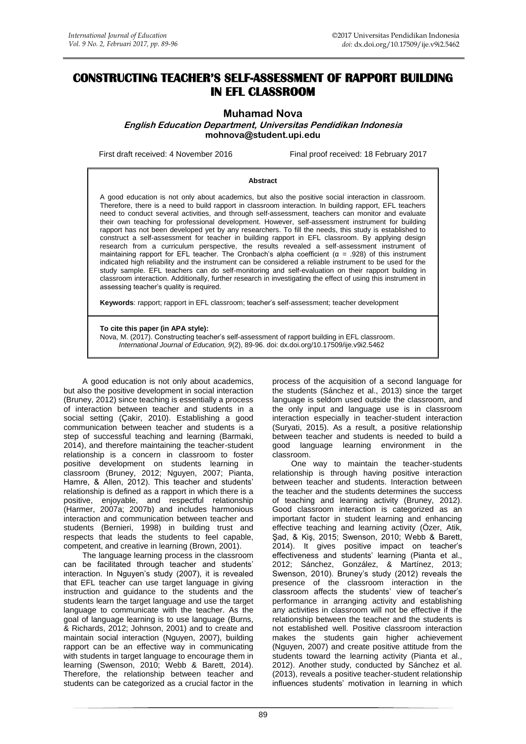# **CONSTRUCTING TEACHER'S SELF-ASSESSMENT OF RAPPORT BUILDING IN EFL CLASSROOM**

**Muhamad Nova**

**English Education Department, Universitas Pendidikan Indonesia [mohnova@student.upi.edu](mailto:mohnova@student.upi.edu)**

First draft received: 4 November 2016 Final proof received: 18 February 2017

#### **Abstract**

A good education is not only about academics, but also the positive social interaction in classroom. Therefore, there is a need to build rapport in classroom interaction. In building rapport, EFL teachers need to conduct several activities, and through self-assessment, teachers can monitor and evaluate their own teaching for professional development. However, self-assessment instrument for building rapport has not been developed yet by any researchers. To fill the needs, this study is established to construct a self-assessment for teacher in building rapport in EFL classroom. By applying design research from a curriculum perspective, the results revealed a self-assessment instrument of maintaining rapport for EFL teacher. The Cronbach's alpha coefficient ( $\alpha$  = .928) of this instrument indicated high reliability and the instrument can be considered a reliable instrument to be used for the study sample. EFL teachers can do self-monitoring and self-evaluation on their rapport building in classroom interaction. Additionally, further research in investigating the effect of using this instrument in assessing teacher's quality is required.

**Keywords**: rapport; rapport in EFL classroom; teacher's self-assessment; teacher development

#### **To cite this paper (in APA style):**

Nova, M. (2017). Constructing teacher's self-assessment of rapport building in EFL classroom. *International Journal of Education, 9*(2), 89-96. doi: [dx.doi.org/10.17509/ije.v9i2.5462](http://dx.doi.org/10.17509/ije.v9i2.5462)

A good education is not only about academics, but also the positive development in social interaction (Bruney, 2012) since teaching is essentially a process of interaction between teacher and students in a social setting (Çakir, 2010). Establishing a good communication between teacher and students is a step of successful teaching and learning (Barmaki, 2014), and therefore maintaining the teacher-student relationship is a concern in classroom to foster positive development on students learning in classroom (Bruney, 2012; Nguyen, 2007; Pianta, Hamre, & Allen, 2012). This teacher and students' relationship is defined as a rapport in which there is a positive, enjoyable, and respectful relationship (Harmer, 2007a; 2007b) and includes harmonious interaction and communication between teacher and students (Bernieri, 1998) in building trust and respects that leads the students to feel capable, competent, and creative in learning (Brown, 2001).

The language learning process in the classroom can be facilitated through teacher and students' interaction. In Nguyen's study (2007), it is revealed that EFL teacher can use target language in giving instruction and guidance to the students and the students learn the target language and use the target language to communicate with the teacher. As the goal of language learning is to use language (Burns, & Richards, 2012; Johnson, 2001) and to create and maintain social interaction (Nguyen, 2007), building rapport can be an effective way in communicating with students in target language to encourage them in learning (Swenson, 2010; Webb & Barett, 2014). Therefore, the relationship between teacher and students can be categorized as a crucial factor in the process of the acquisition of a second language for the students (Sánchez et al., 2013) since the target language is seldom used outside the classroom, and the only input and language use is in classroom interaction especially in teacher-student interaction (Suryati, 2015). As a result, a positive relationship between teacher and students is needed to build a good language learning environment in the classroom.

One way to maintain the teacher-students relationship is through having positive interaction between teacher and students. Interaction between the teacher and the students determines the success of teaching and learning activity (Bruney, 2012). Good classroom interaction is categorized as an important factor in student learning and enhancing effective teaching and learning activity (Özer, Atik, Şad, & Kiş, 2015; Swenson, 2010; Webb & Barett, 2014). It gives positive impact on teacher's effectiveness and students' learning (Pianta et al., 2012; Sánchez, González, & Martínez, 2013; Swenson, 2010). Bruney's study (2012) reveals the presence of the classroom interaction in the classroom affects the students' view of teacher's performance in arranging activity and establishing any activities in classroom will not be effective if the relationship between the teacher and the students is not established well. Positive classroom interaction makes the students gain higher achievement (Nguyen, 2007) and create positive attitude from the students toward the learning activity (Pianta et al., 2012). Another study, conducted by Sánchez et al. (2013), reveals a positive teacher-student relationship influences students' motivation in learning in which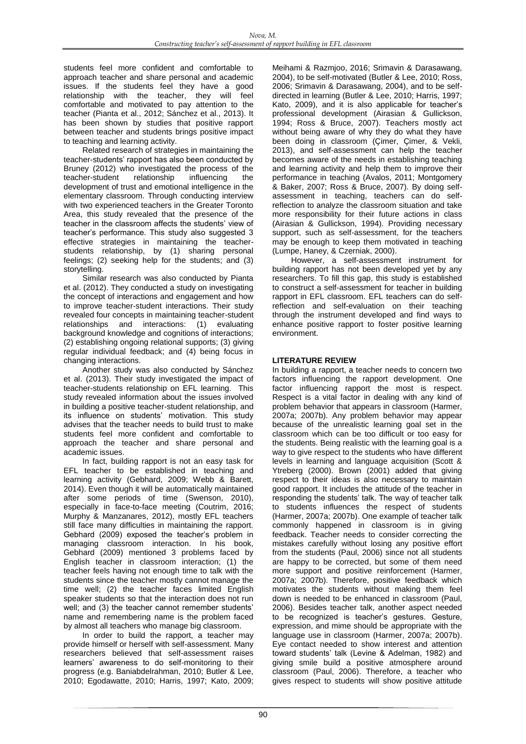students feel more confident and comfortable to approach teacher and share personal and academic issues. If the students feel they have a good relationship with the teacher, they will feel comfortable and motivated to pay attention to the teacher (Pianta et al., 2012; Sánchez et al., 2013). It has been shown by studies that positive rapport between teacher and students brings positive impact to teaching and learning activity.

Related research of strategies in maintaining the teacher-students' rapport has also been conducted by Bruney (2012) who investigated the process of the teacher-student relationship influencing the development of trust and emotional intelligence in the elementary classroom. Through conducting interview with two experienced teachers in the Greater Toronto Area, this study revealed that the presence of the teacher in the classroom affects the students' view of teacher's performance. This study also suggested 3 effective strategies in maintaining the teacherstudents relationship, by (1) sharing personal feelings; (2) seeking help for the students; and (3) storytelling.

Similar research was also conducted by Pianta et al. (2012). They conducted a study on investigating the concept of interactions and engagement and how to improve teacher-student interactions. Their study revealed four concepts in maintaining teacher-student relationships and interactions: (1) evaluating background knowledge and cognitions of interactions; (2) establishing ongoing relational supports; (3) giving regular individual feedback; and (4) being focus in changing interactions.

Another study was also conducted by Sánchez et al. (2013). Their study investigated the impact of teacher-students relationship on EFL learning. This study revealed information about the issues involved in building a positive teacher-student relationship, and its influence on students' motivation. This study advises that the teacher needs to build trust to make students feel more confident and comfortable to approach the teacher and share personal and academic issues.

In fact, building rapport is not an easy task for EFL teacher to be established in teaching and learning activity (Gebhard, 2009; Webb & Barett, 2014). Even though it will be automatically maintained after some periods of time (Swenson, 2010), especially in face-to-face meeting (Coutrim, 2016; Murphy & Manzanares, 2012), mostly EFL teachers still face many difficulties in maintaining the rapport. Gebhard (2009) exposed the teacher's problem in managing classroom interaction. In his book, Gebhard (2009) mentioned 3 problems faced by English teacher in classroom interaction; (1) the teacher feels having not enough time to talk with the students since the teacher mostly cannot manage the time well; (2) the teacher faces limited English speaker students so that the interaction does not run well; and (3) the teacher cannot remember students' name and remembering name is the problem faced by almost all teachers who manage big classroom.

In order to build the rapport, a teacher may provide himself or herself with self-assessment. Many researchers believed that self-assessment raises learners' awareness to do self-monitoring to their progress (e.g. Baniabdelrahman, 2010; Butler & Lee, 2010; Egodawatte, 2010; Harris, 1997; Kato, 2009; Meihami & Razmjoo, 2016; Srimavin & Darasawang, 2004), to be self-motivated (Butler & Lee, 2010; Ross, 2006; Srimavin & Darasawang, 2004), and to be selfdirected in learning (Butler & Lee, 2010; Harris, 1997; Kato, 2009), and it is also applicable for teacher's professional development (Airasian & Gullickson, 1994; Ross & Bruce, 2007). Teachers mostly act without being aware of why they do what they have been doing in classroom (Çimer, Çimer, & Vekli, 2013), and self-assessment can help the teacher becomes aware of the needs in establishing teaching and learning activity and help them to improve their performance in teaching (Avalos, 2011; Montgomery & Baker, 2007; Ross & Bruce, 2007). By doing selfassessment in teaching, teachers can do selfreflection to analyze the classroom situation and take more responsibility for their future actions in class (Airasian & Gullickson, 1994). Providing necessary support, such as self-assessment, for the teachers may be enough to keep them motivated in teaching (Lumpe, Haney, & Czerniak, 2000).

However, a self-assessment instrument for building rapport has not been developed yet by any researchers. To fill this gap, this study is established to construct a self-assessment for teacher in building rapport in EFL classroom. EFL teachers can do selfreflection and self-evaluation on their teaching through the instrument developed and find ways to enhance positive rapport to foster positive learning environment.

# **LITERATURE REVIEW**

In building a rapport, a teacher needs to concern two factors influencing the rapport development. One factor influencing rapport the most is respect. Respect is a vital factor in dealing with any kind of problem behavior that appears in classroom (Harmer, 2007a; 2007b). Any problem behavior may appear because of the unrealistic learning goal set in the classroom which can be too difficult or too easy for the students. Being realistic with the learning goal is a way to give respect to the students who have different levels in learning and language acquisition (Scott & Ytreberg (2000). Brown (2001) added that giving respect to their ideas is also necessary to maintain good rapport. It includes the attitude of the teacher in responding the students' talk. The way of teacher talk to students influences the respect of students (Harmer, 2007a; 2007b). One example of teacher talk commonly happened in classroom is in giving feedback. Teacher needs to consider correcting the mistakes carefully without losing any positive effort from the students (Paul, 2006) since not all students are happy to be corrected, but some of them need more support and positive reinforcement (Harmer, 2007a; 2007b). Therefore, positive feedback which motivates the students without making them feel down is needed to be enhanced in classroom (Paul, 2006). Besides teacher talk, another aspect needed to be recognized is teacher's gestures. Gesture, expression, and mime should be appropriate with the language use in classroom (Harmer, 2007a; 2007b). Eye contact needed to show interest and attention toward students' talk (Levine & Adelman, 1982) and giving smile build a positive atmosphere around classroom (Paul, 2006). Therefore, a teacher who gives respect to students will show positive attitude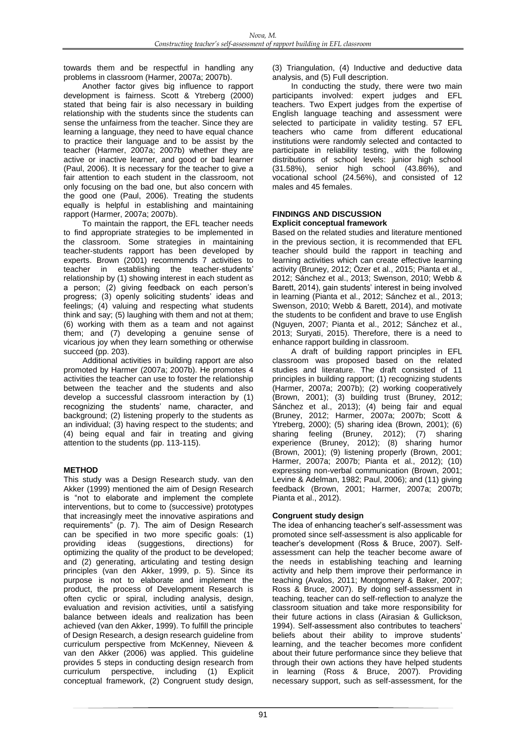towards them and be respectful in handling any problems in classroom (Harmer, 2007a; 2007b).

Another factor gives big influence to rapport development is fairness. Scott & Ytreberg (2000) stated that being fair is also necessary in building relationship with the students since the students can sense the unfairness from the teacher. Since they are learning a language, they need to have equal chance to practice their language and to be assist by the teacher (Harmer, 2007a; 2007b) whether they are active or inactive learner, and good or bad learner (Paul, 2006). It is necessary for the teacher to give a fair attention to each student in the classroom, not only focusing on the bad one, but also concern with the good one (Paul, 2006). Treating the students equally is helpful in establishing and maintaining rapport (Harmer, 2007a; 2007b).

To maintain the rapport, the EFL teacher needs to find appropriate strategies to be implemented in the classroom. Some strategies in maintaining teacher-students rapport has been developed by experts. Brown (2001) recommends 7 activities to teacher in establishing the teacher-students' relationship by (1) showing interest in each student as a person; (2) giving feedback on each person's progress; (3) openly soliciting students' ideas and feelings; (4) valuing and respecting what students think and say; (5) laughing with them and not at them; (6) working with them as a team and not against them; and (7) developing a genuine sense of vicarious joy when they learn something or otherwise succeed (pp. 203).

Additional activities in building rapport are also promoted by Harmer (2007a; 2007b). He promotes 4 activities the teacher can use to foster the relationship between the teacher and the students and also develop a successful classroom interaction by (1) recognizing the students' name, character, and background; (2) listening properly to the students as an individual; (3) having respect to the students; and (4) being equal and fair in treating and giving attention to the students (pp. 113-115).

### **METHOD**

This study was a Design Research study. van den Akker (1999) mentioned the aim of Design Research is "not to elaborate and implement the complete interventions, but to come to (successive) prototypes that increasingly meet the innovative aspirations and requirements" (p. 7). The aim of Design Research can be specified in two more specific goals: (1) providing ideas (suggestions, directions) for optimizing the quality of the product to be developed; and (2) generating, articulating and testing design principles (van den Akker, 1999, p. 5). Since its purpose is not to elaborate and implement the product, the process of Development Research is often cyclic or spiral, including analysis, design, evaluation and revision activities, until a satisfying balance between ideals and realization has been achieved (van den Akker, 1999). To fulfill the principle of Design Research, a design research guideline from curriculum perspective from McKenney, Nieveen & van den Akker (2006) was applied. This guideline provides 5 steps in conducting design research from curriculum perspective, including (1) Explicit conceptual framework, (2) Congruent study design,

(3) Triangulation, (4) Inductive and deductive data analysis, and (5) Full description.

In conducting the study, there were two main participants involved: expert judges and EFL teachers. Two Expert judges from the expertise of English language teaching and assessment were selected to participate in validity testing. 57 EFL teachers who came from different educational institutions were randomly selected and contacted to participate in reliability testing, with the following distributions of school levels: junior high school (31.58%), senior high school (43.86%), and vocational school (24.56%), and consisted of 12 males and 45 females.

#### **FINDINGS AND DISCUSSION Explicit conceptual framework**

Based on the related studies and literature mentioned in the previous section, it is recommended that EFL teacher should build the rapport in teaching and learning activities which can create effective learning activity (Bruney, 2012; Özer et al., 2015; Pianta et al., 2012; Sánchez et al., 2013; Swenson, 2010; Webb & Barett, 2014), gain students' interest in being involved in learning (Pianta et al., 2012; Sánchez et al., 2013; Swenson, 2010; Webb & Barett, 2014), and motivate the students to be confident and brave to use English (Nguyen, 2007; Pianta et al., 2012; Sánchez et al., 2013; Suryati, 2015). Therefore, there is a need to enhance rapport building in classroom.

A draft of building rapport principles in EFL classroom was proposed based on the related studies and literature. The draft consisted of 11 principles in building rapport; (1) recognizing students (Harmer, 2007a; 2007b); (2) working cooperatively (Brown, 2001); (3) building trust (Bruney, 2012; Sánchez et al., 2013); (4) being fair and equal (Bruney, 2012; Harmer, 2007a; 2007b; Scott & Ytreberg, 2000); (5) sharing idea (Brown, 2001); (6) sharing feeling (Bruney, 2012); (7) sharing experience (Bruney, 2012); (8) sharing humor (Brown, 2001); (9) listening properly (Brown, 2001; Harmer, 2007a; 2007b; Pianta et al., 2012); (10) expressing non-verbal communication (Brown, 2001; Levine & Adelman, 1982; Paul, 2006); and (11) giving feedback (Brown, 2001; Harmer, 2007a; 2007b; Pianta et al., 2012).

### **Congruent study design**

The idea of enhancing teacher's self-assessment was promoted since self-assessment is also applicable for teacher's development (Ross & Bruce, 2007). Selfassessment can help the teacher become aware of the needs in establishing teaching and learning activity and help them improve their performance in teaching (Avalos, 2011; Montgomery & Baker, 2007; Ross & Bruce, 2007). By doing self-assessment in teaching, teacher can do self-reflection to analyze the classroom situation and take more responsibility for their future actions in class (Airasian & Gullickson, 1994). Self-assessment also contributes to teachers' beliefs about their ability to improve students' learning, and the teacher becomes more confident about their future performance since they believe that through their own actions they have helped students in learning (Ross & Bruce, 2007). Providing necessary support, such as self-assessment, for the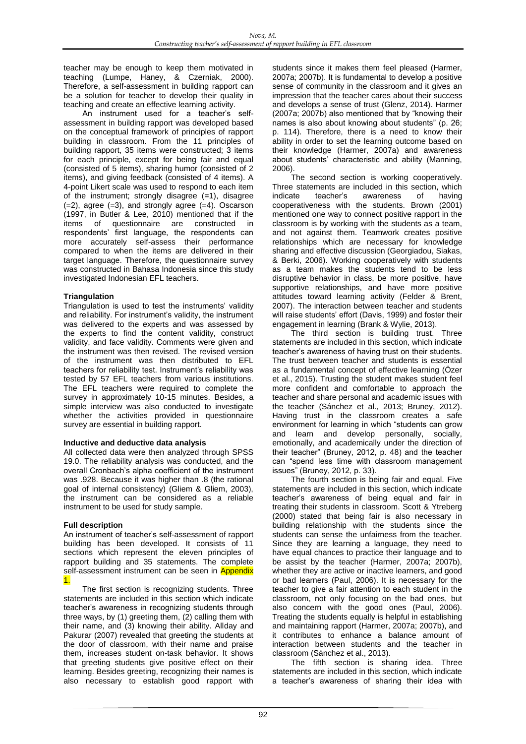teacher may be enough to keep them motivated in teaching (Lumpe, Haney, & Czerniak, 2000). Therefore, a self-assessment in building rapport can be a solution for teacher to develop their quality in teaching and create an effective learning activity.

An instrument used for a teacher's selfassessment in building rapport was developed based on the conceptual framework of principles of rapport building in classroom. From the 11 principles of building rapport, 35 items were constructed; 3 items for each principle, except for being fair and equal (consisted of 5 items), sharing humor (consisted of 2 items), and giving feedback (consisted of 4 items). A 4-point Likert scale was used to respond to each item of the instrument; strongly disagree (=1), disagree  $(=2)$ , agree  $(=3)$ , and strongly agree  $(=4)$ . Oscarson (1997, in Butler & Lee, 2010) mentioned that if the items of questionnaire are constructed in respondents' first language, the respondents can more accurately self-assess their performance compared to when the items are delivered in their target language. Therefore, the questionnaire survey was constructed in Bahasa Indonesia since this study investigated Indonesian EFL teachers.

### **Triangulation**

Triangulation is used to test the instruments' validity and reliability. For instrument's validity, the instrument was delivered to the experts and was assessed by the experts to find the content validity, construct validity, and face validity. Comments were given and the instrument was then revised. The revised version of the instrument was then distributed to EFL teachers for reliability test. Instrument's reliability was tested by 57 EFL teachers from various institutions. The EFL teachers were required to complete the survey in approximately 10-15 minutes. Besides, a simple interview was also conducted to investigate whether the activities provided in questionnaire survey are essential in building rapport.

#### **Inductive and deductive data analysis**

All collected data were then analyzed through SPSS 19.0. The reliability analysis was conducted, and the overall Cronbach's alpha coefficient of the instrument was .928. Because it was higher than .8 (the rational goal of internal consistency) (Gliem & Gliem, 2003), the instrument can be considered as a reliable instrument to be used for study sample.

### **Full description**

An instrument of teacher's self-assessment of rapport building has been developed. It consists of 11 sections which represent the eleven principles of rapport building and 35 statements. The complete self-assessment instrument can be seen in Appendix 1.

The first section is recognizing students. Three statements are included in this section which indicate teacher's awareness in recognizing students through three ways, by (1) greeting them, (2) calling them with their name, and (3) knowing their ability. Allday and Pakurar (2007) revealed that greeting the students at the door of classroom, with their name and praise them, increases student on-task behavior. It shows that greeting students give positive effect on their learning. Besides greeting, recognizing their names is also necessary to establish good rapport with

students since it makes them feel pleased (Harmer, 2007a; 2007b). It is fundamental to develop a positive sense of community in the classroom and it gives an impression that the teacher cares about their success and develops a sense of trust (Glenz, 2014). Harmer (2007a; 2007b) also mentioned that by "knowing their names is also about knowing about students" (p. 26; p. 114). Therefore, there is a need to know their ability in order to set the learning outcome based on their knowledge (Harmer, 2007a) and awareness about students' characteristic and ability (Manning, 2006).

The second section is working cooperatively. Three statements are included in this section, which indicate teacher's awareness of having cooperativeness with the students. Brown (2001) mentioned one way to connect positive rapport in the classroom is by working with the students as a team, and not against them. Teamwork creates positive relationships which are necessary for knowledge sharing and effective discussion (Georgiadou, Siakas, & Berki, 2006). Working cooperatively with students as a team makes the students tend to be less disruptive behavior in class, be more positive, have supportive relationships, and have more positive attitudes toward learning activity (Felder & Brent, 2007). The interaction between teacher and students will raise students' effort (Davis, 1999) and foster their engagement in learning (Brank & Wylie, 2013).

The third section is building trust. Three statements are included in this section, which indicate teacher's awareness of having trust on their students. The trust between teacher and students is essential as a fundamental concept of effective learning (Özer et al., 2015). Trusting the student makes student feel more confident and comfortable to approach the teacher and share personal and academic issues with the teacher (Sánchez et al., 2013; Bruney, 2012). Having trust in the classroom creates a safe environment for learning in which "students can grow and learn and develop personally, socially, emotionally, and academically under the direction of their teacher" (Bruney, 2012, p. 48) and the teacher can "spend less time with classroom management issues" (Bruney, 2012, p. 33).

The fourth section is being fair and equal. Five statements are included in this section, which indicate teacher's awareness of being equal and fair in treating their students in classroom. Scott & Ytreberg (2000) stated that being fair is also necessary in building relationship with the students since the students can sense the unfairness from the teacher. Since they are learning a language, they need to have equal chances to practice their language and to be assist by the teacher (Harmer, 2007a; 2007b), whether they are active or inactive learners, and good or bad learners (Paul, 2006). It is necessary for the teacher to give a fair attention to each student in the classroom, not only focusing on the bad ones, but also concern with the good ones (Paul, 2006). Treating the students equally is helpful in establishing and maintaining rapport (Harmer, 2007a; 2007b), and it contributes to enhance a balance amount of interaction between students and the teacher in classroom (Sánchez et al., 2013).

The fifth section is sharing idea. Three statements are included in this section, which indicate a teacher's awareness of sharing their idea with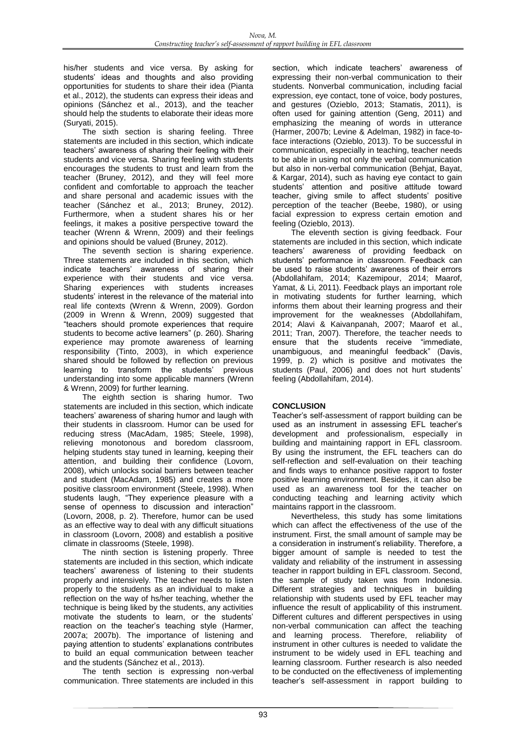his/her students and vice versa. By asking for students' ideas and thoughts and also providing opportunities for students to share their idea (Pianta et al., 2012), the students can express their ideas and opinions (Sánchez et al., 2013), and the teacher should help the students to elaborate their ideas more (Suryati, 2015).

The sixth section is sharing feeling. Three statements are included in this section, which indicate teachers' awareness of sharing their feeling with their students and vice versa. Sharing feeling with students encourages the students to trust and learn from the teacher (Bruney, 2012), and they will feel more confident and comfortable to approach the teacher and share personal and academic issues with the teacher (Sánchez et al., 2013; Bruney, 2012). Furthermore, when a student shares his or her feelings, it makes a positive perspective toward the teacher (Wrenn & Wrenn, 2009) and their feelings and opinions should be valued (Bruney, 2012).

The seventh section is sharing experience. Three statements are included in this section, which indicate teachers' awareness of sharing their experience with their students and vice versa. Sharing experiences with students increases students' interest in the relevance of the material into real life contexts (Wrenn & Wrenn, 2009). Gordon (2009 in Wrenn & Wrenn, 2009) suggested that "teachers should promote experiences that require students to become active learners" (p. 260). Sharing experience may promote awareness of learning responsibility (Tinto, 2003), in which experience shared should be followed by reflection on previous learning to transform the students' previous understanding into some applicable manners (Wrenn & Wrenn, 2009) for further learning.

The eighth section is sharing humor. Two statements are included in this section, which indicate teachers' awareness of sharing humor and laugh with their students in classroom. Humor can be used for reducing stress (MacAdam, 1985; Steele, 1998), relieving monotonous and boredom classroom, helping students stay tuned in learning, keeping their attention, and building their confidence (Lovorn, 2008), which unlocks social barriers between teacher and student (MacAdam, 1985) and creates a more positive classroom environment (Steele, 1998). When students laugh, "They experience pleasure with a sense of openness to discussion and interaction" (Lovorn, 2008, p. 2). Therefore, humor can be used as an effective way to deal with any difficult situations in classroom (Lovorn, 2008) and establish a positive climate in classrooms (Steele, 1998).

The ninth section is listening properly. Three statements are included in this section, which indicate teachers' awareness of listening to their students properly and intensively. The teacher needs to listen properly to the students as an individual to make a reflection on the way of hs/her teaching, whether the technique is being liked by the students, any activities motivate the students to learn, or the students' reaction on the teacher's teaching style (Harmer, 2007a; 2007b). The importance of listening and paying attention to students' explanations contributes to build an equal communication between teacher and the students (Sánchez et al., 2013).

The tenth section is expressing non-verbal communication. Three statements are included in this section, which indicate teachers' awareness of expressing their non-verbal communication to their students. Nonverbal communication, including facial expression, eye contact, tone of voice, body postures, and gestures (Ozieblo, 2013; Stamatis, 2011), is often used for gaining attention (Geng, 2011) and emphasizing the meaning of words in utterance (Harmer, 2007b; Levine & Adelman, 1982) in face-toface interactions (Ozieblo, 2013). To be successful in communication, especially in teaching, teacher needs to be able in using not only the verbal communication but also in non-verbal communication (Behjat, Bayat, & Kargar, 2014), such as having eye contact to gain students' attention and positive attitude toward teacher, giving smile to affect students' positive perception of the teacher (Beebe, 1980), or using facial expression to express certain emotion and feeling (Ozieblo, 2013).

The eleventh section is giving feedback. Four statements are included in this section, which indicate teachers' awareness of providing feedback on students' performance in classroom. Feedback can be used to raise students' awareness of their errors (Abdollahifam, 2014; Kazemipour, 2014; Maarof, Yamat, & Li, 2011). Feedback plays an important role in motivating students for further learning, which informs them about their learning progress and their improvement for the weaknesses (Abdollahifam, 2014; Alavi & Kaivanpanah, 2007; Maarof et al., 2011; Tran, 2007). Therefore, the teacher needs to ensure that the students receive "immediate, unambiguous, and meaningful feedback" (Davis, 1999, p. 2) which is positive and motivates the students (Paul, 2006) and does not hurt students' feeling (Abdollahifam, 2014).

# **CONCLUSION**

Teacher's self-assessment of rapport building can be used as an instrument in assessing EFL teacher's development and professionalism, especially in building and maintaining rapport in EFL classroom. By using the instrument, the EFL teachers can do self-reflection and self-evaluation on their teaching and finds ways to enhance positive rapport to foster positive learning environment. Besides, it can also be used as an awareness tool for the teacher on conducting teaching and learning activity which maintains rapport in the classroom.

Nevertheless, this study has some limitations which can affect the effectiveness of the use of the instrument. First, the small amount of sample may be a consideration in instrument's reliability. Therefore, a bigger amount of sample is needed to test the validaty and reliability of the instrument in assessing teacher in rapport building in EFL classroom. Second, the sample of study taken was from Indonesia. Different strategies and techniques in building relationship with students used by EFL teacher may influence the result of applicability of this instrument. Different cultures and different perspectives in using non-verbal communication can affect the teaching and learning process. Therefore, reliability of instrument in other cultures is needed to validate the instrument to be widely used in EFL teaching and learning classroom. Further research is also needed to be conducted on the effectiveness of implementing teacher's self-assessment in rapport building to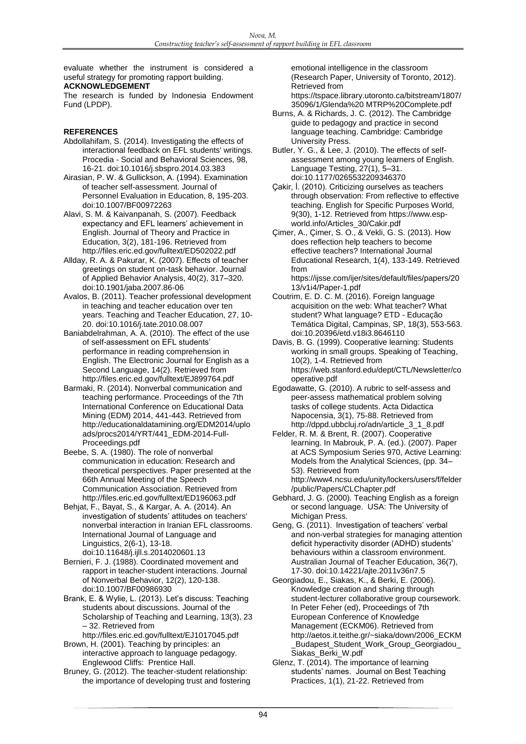evaluate whether the instrument is considered a useful strategy for promoting rapport building.

## **ACKNOWLEDGEMENT**

The research is funded by Indonesia Endowment Fund (LPDP).

#### **REFERENCES**

- Abdollahifam, S. (2014). Investigating the effects of interactional feedback on EFL students' writings. Procedia - Social and Behavioral Sciences, 98, 16-21. doi:10.1016/j.sbspro.2014.03.383
- Airasian, P. W. & Gullickson, A. (1994). Examination of teacher self-assessment. Journal of Personnel Evaluation in Education, 8, 195-203. doi:10.1007/BF00972263
- Alavi, S. M. & Kaivanpanah, S. (2007). Feedback expectancy and EFL learners' achievement in English. Journal of Theory and Practice in Education, 3(2), 181-196. Retrieved from http://files.eric.ed.gov/fulltext/ED502022.pdf
- Allday, R. A. & Pakurar, K. (2007). Effects of teacher greetings on student on-task behavior. Journal of Applied Behavior Analysis, 40(2), 317–320. doi:10.1901/jaba.2007.86-06
- Avalos, B. (2011). Teacher professional development in teaching and teacher education over ten years. Teaching and Teacher Education, 27, 10- 20. doi:10.1016/j.tate.2010.08.007
- Baniabdelrahman, A. A. (2010). The effect of the use of self-assessment on EFL students' performance in reading comprehension in English. The Electronic Journal for English as a Second Language, 14(2). Retrieved from http://files.eric.ed.gov/fulltext/EJ899764.pdf
- Barmaki, R. (2014). Nonverbal communication and teaching performance. Proceedings of the 7th International Conference on Educational Data Mining (EDM) 2014, 441-443. Retrieved from http://educationaldatamining.org/EDM2014/uplo ads/procs2014/YRT/441\_EDM-2014-Full-Proceedings.pdf
- Beebe, S. A. (1980). The role of nonverbal communication in education: Research and theoretical perspectives. Paper presented at the 66th Annual Meeting of the Speech Communication Association. Retrieved from http://files.eric.ed.gov/fulltext/ED196063.pdf
- Behjat, F., Bayat, S., & Kargar, A. A. (2014). An investigation of students' attitudes on teachers' nonverbal interaction in Iranian EFL classrooms. International Journal of Language and Linguistics, 2(6-1), 13-18. doi:10.11648/j.ijll.s.2014020601.13
- Bernieri, F. J. (1988). Coordinated movement and rapport in teacher-student interactions. Journal of Nonverbal Behavior, 12(2), 120-138. doi:10.1007/BF00986930
- Brank, E. & Wylie, L. (2013). Let's discuss: Teaching students about discussions. Journal of the Scholarship of Teaching and Learning, 13(3), 23 – 32. Retrieved from
- http://files.eric.ed.gov/fulltext/EJ1017045.pdf Brown, H. (2001). Teaching by principles: an
- interactive approach to language pedagogy. Englewood Cliffs: Prentice Hall.
- Bruney, G. (2012). The teacher-student relationship: the importance of developing trust and fostering

emotional intelligence in the classroom (Research Paper, University of Toronto, 2012). Retrieved from https://tspace.library.utoronto.ca/bitstream/1807/

- 35096/1/Glenda%20 MTRP%20Complete.pdf Burns, A. & Richards, J. C. (2012). The Cambridge guide to pedagogy and practice in second language teaching. Cambridge: Cambridge University Press.
- Butler, Y. G., & Lee, J. (2010). The effects of selfassessment among young learners of English. Language Testing, 27(1), 5–31. doi:10.1177/0265532209346370
- Çakir, İ. (2010). Criticizing ourselves as teachers through observation: From reflective to effective teaching. English for Specific Purposes World, 9(30), 1-12. Retrieved from https://www.espworld.info/Articles\_30/Cakir.pdf
- Çimer, A., Çimer, S. O., & Vekli, G. S. (2013). How does reflection help teachers to become effective teachers? International Journal Educational Research, 1(4), 133-149. Retrieved from https://ijsse.com/ijer/sites/default/files/papers/20
- 13/v1i4/Paper-1.pdf Coutrim, E. D. C. M. (2016). Foreign language
- acquisition on the web: What teacher? What student? What language? ETD - Educação Temática Digital, Campinas, SP, 18(3), 553-563. doi:10.20396/etd.v18i3.8646110
- Davis, B. G. (1999). Cooperative learning: Students working in small groups. Speaking of Teaching, 10(2), 1-4. Retrieved from https://web.stanford.edu/dept/CTL/Newsletter/co operative.pdf
- Egodawatte, G. (2010). A rubric to self-assess and peer-assess mathematical problem solving tasks of college students. Acta Didactica Napocensia, 3(1), 75-88. Retrieved from http://dppd.ubbcluj.ro/adn/article\_3\_1\_8.pdf
- Felder, R. M. & Brent, R. (2007). Cooperative learning. In Mabrouk, P. A. (ed.). (2007). Paper at ACS Symposium Series 970, Active Learning: Models from the Analytical Sciences, (pp. 34– 53). Retrieved from http://www4.ncsu.edu/unity/lockers/users/f/felder /public/Papers/CLChapter.pdf
- Gebhard, J. G. (2000). Teaching English as a foreign or second language. USA: The University of Michigan Press.
- Geng, G. (2011). Investigation of teachers' verbal and non-verbal strategies for managing attention deficit hyperactivity disorder (ADHD) students' behaviours within a classroom environment. Australian Journal of Teacher Education, 36(7), 17-30. doi:10.14221/ajte.2011v36n7.5
- Georgiadou, E., Siakas, K., & Berki, E. (2006). Knowledge creation and sharing through student-lecturer collaborative group coursework. In Peter Feher (ed), Proceedings of 7th European Conference of Knowledge Management (ECKM06). Retrieved from http://aetos.it.teithe.gr/~siaka/down/2006\_ECKM \_Budapest\_Student\_Work\_Group\_Georgiadou\_ Siakas\_Berki\_W.pdf
- Glenz, T. (2014). The importance of learning students' names. Journal on Best Teaching Practices, 1(1), 21-22. Retrieved from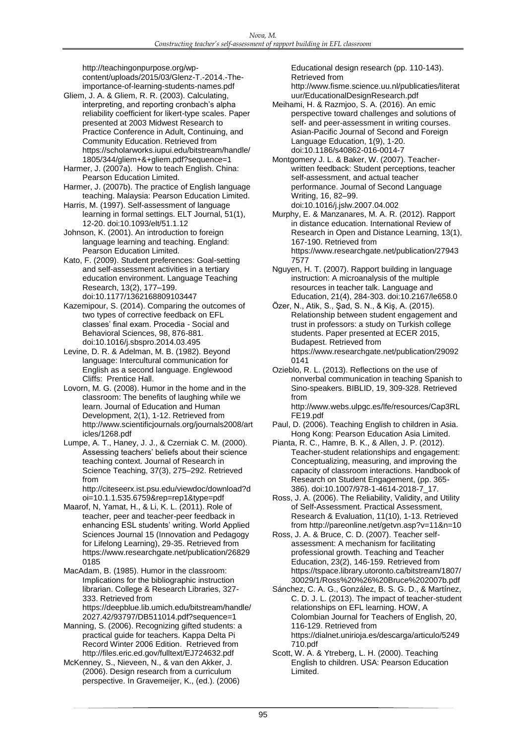http://teachingonpurpose.org/wpcontent/uploads/2015/03/Glenz-T.-2014.-Theimportance-of-learning-students-names.pdf

Gliem, J. A. & Gliem, R. R. (2003). Calculating, interpreting, and reporting cronbach's alpha reliability coefficient for likert-type scales. Paper presented at 2003 Midwest Research to Practice Conference in Adult, Continuing, and Community Education. Retrieved from https://scholarworks.iupui.edu/bitstream/handle/ 1805/344/gliem+&+gliem.pdf?sequence=1

Harmer, J. (2007a). How to teach English. China: Pearson Education Limited.

Harmer, J. (2007b). The practice of English language teaching. Malaysia: Pearson Education Limited.

Harris, M. (1997). Self-assessment of language learning in formal settings. ELT Journal, 51(1), 12-20. doi:10.1093/elt/51.1.12

Johnson, K. (2001). An introduction to foreign language learning and teaching. England: Pearson Education Limited.

Kato, F. (2009). Student preferences: Goal-setting and self-assessment activities in a tertiary education environment. Language Teaching Research, 13(2), 177–199. doi:10.1177/1362168809103447

Kazemipour, S. (2014). Comparing the outcomes of two types of corrective feedback on EFL classes' final exam. Procedia - Social and Behavioral Sciences, 98, 876-881. doi:10.1016/j.sbspro.2014.03.495

Levine, D. R. & Adelman, M. B. (1982). Beyond language: Intercultural communication for English as a second language. Englewood Cliffs: Prentice Hall.

Lovorn, M. G. (2008). Humor in the home and in the classroom: The benefits of laughing while we learn. Journal of Education and Human Development, 2(1), 1-12. Retrieved from http://www.scientificjournals.org/journals2008/art icles/1268.pdf

Lumpe, A. T., Haney, J. J., & Czerniak C. M. (2000). Assessing teachers' beliefs about their science teaching context. Journal of Research in Science Teaching, 37(3), 275–292. Retrieved from

http://citeseerx.ist.psu.edu/viewdoc/download?d oi=10.1.1.535.6759&rep=rep1&type=pdf

Maarof, N, Yamat, H., & Li, K. L. (2011). Role of teacher, peer and teacher-peer feedback in enhancing ESL students' writing. World Applied Sciences Journal 15 (Innovation and Pedagogy for Lifelong Learning), 29-35. Retrieved from https://www.researchgate.net/publication/26829 0185

MacAdam, B. (1985). Humor in the classroom: Implications for the bibliographic instruction librarian. College & Research Libraries, 327- 333. Retrieved from https://deepblue.lib.umich.edu/bitstream/handle/ 2027.42/93797/DB511014.pdf?sequence=1

Manning, S. (2006). Recognizing gifted students: a practical guide for teachers. Kappa Delta Pi Record Winter 2006 Edition. Retrieved from http://files.eric.ed.gov/fulltext/EJ724632.pdf

McKenney, S., Nieveen, N., & van den Akker, J. (2006). Design research from a curriculum perspective. In Gravemeijer, K., (ed.). (2006) Educational design research (pp. 110-143). Retrieved from

http://www.fisme.science.uu.nl/publicaties/literat uur/EducationalDesignResearch.pdf

Meihami, H. & Razmjoo, S. A. (2016). An emic perspective toward challenges and solutions of self- and peer-assessment in writing courses. Asian-Pacific Journal of Second and Foreign Language Education, 1(9), 1-20. doi:10.1186/s40862-016-0014-7

Montgomery J. L. & Baker, W. (2007). Teacherwritten feedback: Student perceptions, teacher self-assessment, and actual teacher performance. Journal of Second Language Writing, 16, 82–99. doi:10.1016/j.jslw.2007.04.002

Murphy, E. & Manzanares, M. A. R. (2012). Rapport in distance education. International Review of Research in Open and Distance Learning, 13(1), 167-190. Retrieved from https://www.researchgate.net/publication/27943 7577

Nguyen, H. T. (2007). Rapport building in language instruction: A microanalysis of the multiple resources in teacher talk. Language and Education, 21(4), 284-303. doi:10.2167/le658.0

Özer, N., Atik, S., Şad, S. N., & Kiş, A. (2015). Relationship between student engagement and trust in professors: a study on Turkish college students. Paper presented at ECER 2015, Budapest. Retrieved from https://www.researchgate.net/publication/29092 0141

Ozieblo, R. L. (2013). Reflections on the use of nonverbal communication in teaching Spanish to Sino-speakers. BIBLID, 19, 309-328. Retrieved from

http://www.webs.ulpgc.es/lfe/resources/Cap3RL FE19.pdf

Paul, D. (2006). Teaching English to children in Asia. Hong Kong: Pearson Education Asia Limited.

Pianta, R. C., Hamre, B. K., & Allen, J. P. (2012). Teacher-student relationships and engagement: Conceptualizing, measuring, and improving the capacity of classroom interactions. Handbook of Research on Student Engagement, (pp. 365- 386). doi:10.1007/978-1-4614-2018-7\_17.

Ross, J. A. (2006). The Reliability, Validity, and Utility of Self-Assessment. Practical Assessment, Research & Evaluation, 11(10), 1-13. Retrieved from http://pareonline.net/getvn.asp?v=11&n=10

Ross, J. A. & Bruce, C. D. (2007). Teacher selfassessment: A mechanism for facilitating professional growth. Teaching and Teacher Education, 23(2), 146-159. Retrieved from https://tspace.library.utoronto.ca/bitstream/1807/ 30029/1/Ross%20%26%20Bruce%202007b.pdf

Sánchez, C. A. G., González, B. S. G. D., & Martínez, C. D. J. L. (2013). The impact of teacher-student relationships on EFL learning. HOW, A Colombian Journal for Teachers of English, 20, 116-129. Retrieved from https://dialnet.unirioja.es/descarga/articulo/5249 710.pdf

Scott, W. A. & Ytreberg, L. H. (2000). Teaching English to children. USA: Pearson Education Limited.